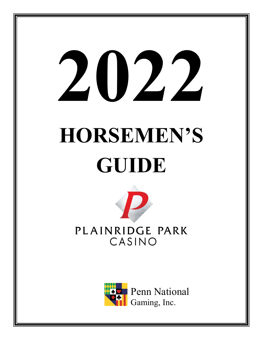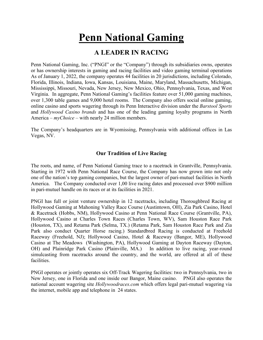## **Penn National Gaming**

## **A LEADER IN RACING**

Penn National Gaming, Inc. ("PNGI" or the "Company") through its subsidiaries owns, operates or has ownership interests in gaming and racing facilities and video gaming terminal operations As of January 1, 2022, the company operates 44 facilities in 20 jurisdictions, including Colorado, Florida, Illinois, Indiana, Iowa, Kansas, Louisiana, Maine, Maryland, Massachusetts, Michigan, Mississippi, Missouri, Nevada, New Jersey, New Mexico, Ohio, Pennsylvania, Texas, and West Virginia. In aggregate, Penn National Gaming's facilities feature over 51,000 gaming machines, over 1,300 table games and 9,000 hotel rooms. The Company also offers social online gaming, online casino and sports wagering through its Penn Interactive division under the *Barstool Sports* and *Hollywood Casino brands* and has one of the leading gaming loyalty programs in North America *– myChoice –* with nearly 24 million members.

The Company's headquarters are in Wyomissing, Pennsylvania with additional offices in Las Vegas, NV.

## **Our Tradition of Live Racing**

The roots, and name, of Penn National Gaming trace to a racetrack in Grantville, Pennsylvania. Starting in 1972 with Penn National Race Course, the Company has now grown into not only one of the nation's top gaming companies, but the largest owner of pari-mutuel facilities in North America. The Company conducted over 1,00 live racing dates and processed over \$900 million in pari-mutuel handle on its races or at its facilities in 2021.

PNGI has full or joint venture ownership in 12 racetracks, including Thoroughbred Racing at Hollywood Gaming at Mahoning Valley Race Course (Austintown, OH), Zia Park Casino, Hotel & Racetrack (Hobbs, NM), Hollywood Casino at Penn National Race Course (Grantville, PA), Hollywood Casino at Charles Town Races (Charles Town, WV), Sam Houston Race Park (Houston, TX), and Retama Park (Selma, TX.) (Retama Park, Sam Houston Race Park and Zia Park also conduct Quarter Horse racing.) Standardbred Racing is conducted at Freehold Raceway (Freehold, NJ); Hollywood Casino, Hotel & Raceway (Bangor, ME), Hollywood Casino at The Meadows (Washington, PA), Hollywood Gaming at Dayton Raceway (Dayton, OH) and Plainridge Park Casino (Plainville, MA.) In addition to live racing, year-round simulcasting from racetracks around the country, and the world, are offered at all of these facilities.

PNGI operates or jointly operates six Off-Track Wagering facilities: two in Pennsylvania, two in New Jersey, one in Florida and one inside our Bangor, Maine casino. PNGI also operates the national account wagering site *Hollywoodraces.com* which offers legal pari-mutuel wagering via the internet, mobile app and telephone in 24 states.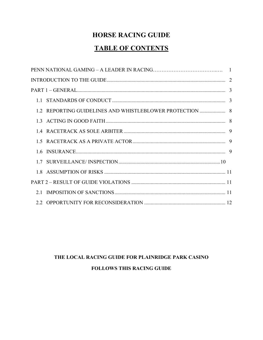## **HORSE RACING GUIDE**

## **TABLE OF CONTENTS**

| 1.2 REPORTING GUIDELINES AND WHISTLEBLOWER PROTECTION  8 |  |
|----------------------------------------------------------|--|
|                                                          |  |
|                                                          |  |
|                                                          |  |
|                                                          |  |
|                                                          |  |
|                                                          |  |
|                                                          |  |
|                                                          |  |
|                                                          |  |

## THE LOCAL RACING GUIDE FOR PLAINRIDGE PARK CASINO **FOLLOWS THIS RACING GUIDE**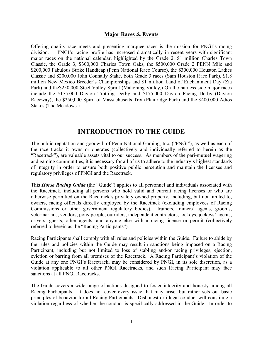#### **Major Races & Events**

Offering quality race meets and presenting marquee races is the mission for PNGI's racing division. PNGI's racing profile has increased dramatically in recent years with significant major races on the national calendar, highlighted by the Grade 2, \$1 million Charles Town Classic, the Grade 3, \$300,000 Charles Town Oaks, the \$500,000 Grade 2 PENN Mile and \$200,000 Fabulous Strike Handicap (Penn National Race Course), the \$300,000 Houston Ladies Classic and \$200,000 John Connally Stake, both Grade 3 races (Sam Houston Race Park), \$1.8 million New Mexico Breeder's Championships and \$1 million Land of Enchantment Day (Zia Park) and the\$250,000 Steel Valley Sprint (Mahoning Valley,) On the harness side major races include the \$175,000 Dayton Trotting Derby and \$175,000 Dayton Pacing Derby (Dayton Raceway), the \$250,000 Spirit of Massachusetts Trot (Plainridge Park) and the \$400,000 Adios Stakes (The Meadows.)

## **INTRODUCTION TO THE GUIDE**

The public reputation and goodwill of Penn National Gaming, Inc. ("PNGI"), as well as each of the race tracks it owns or operates (collectively and individually referred to herein as the "Racetrack"), are valuable assets vital to our success. As members of the pari-mutuel wagering and gaming communities, it is necessary for all of us to adhere to the industry's highest standards of integrity in order to ensure both positive public perception and maintain the licenses and regulatory privileges of PNGI and the Racetrack.

This *Horse Racing Guide* (the "Guide") applies to all personnel and individuals associated with the Racetrack, including all persons who hold valid and current racing licenses or who are otherwise permitted on the Racetrack's privately owned property, including, but not limited to, owners, racing officials directly employed by the Racetrack (excluding employees of Racing Commissions or other government regulatory bodies), trainers, trainers' agents, grooms, veterinarians, vendors, pony people, outriders, independent contractors, jockeys, jockeys' agents, drivers, guests, other agents, and anyone else with a racing license or permit (collectively referred to herein as the "Racing Participants").

Racing Participants shall comply with all rules and policies within the Guide. Failure to abide by the rules and policies within the Guide may result in sanctions being imposed on a Racing Participant, including but not limited to loss of stabling and/or racing privileges, ejection, eviction or barring from all premises of the Racetrack. A Racing Participant's violation of the Guide at any one PNGI's Racetrack, may be considered by PNGI, in its sole discretion, as a violation applicable to all other PNGI Racetracks, and such Racing Participant may face sanctions at all PNGI Racetracks.

The Guide covers a wide range of actions designed to foster integrity and honesty among all Racing Participants. It does not cover every issue that may arise, but rather sets out basic principles of behavior for all Racing Participants. Dishonest or illegal conduct will constitute a violation regardless of whether the conduct is specifically addressed in the Guide. In order to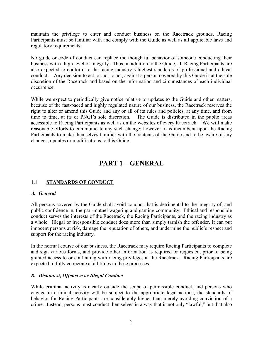maintain the privilege to enter and conduct business on the Racetrack grounds, Racing Participants must be familiar with and comply with the Guide as well as all applicable laws and regulatory requirements.

No guide or code of conduct can replace the thoughtful behavior of someone conducting their business with a high level of integrity. Thus, in addition to the Guide, all Racing Participants are also expected to conform to the racing industry's highest standards of professional and ethical conduct. Any decision to act, or not to act, against a person covered by this Guide is at the sole discretion of the Racetrack and based on the information and circumstances of each individual occurrence.

While we expect to periodically give notice relative to updates to the Guide and other matters, because of the fast-paced and highly regulated nature of our business, the Racetrack reserves the right to alter or amend this Guide and any or all of its rules and policies, at any time, and from time to time, at its or PNGI's sole discretion. The Guide is distributed in the public areas accessible to Racing Participants as well as on the websites of every Racetrack. We will make reasonable efforts to communicate any such change; however, it is incumbent upon the Racing Participants to make themselves familiar with the contents of the Guide and to be aware of any changes, updates or modifications to this Guide.

## **PART 1 – GENERAL**

## **1.1 STANDARDS OF CONDUCT**

#### *A. General*

All persons covered by the Guide shall avoid conduct that is detrimental to the integrity of, and public confidence in, the pari-mutuel wagering and gaming community. Ethical and responsible conduct serves the interests of the Racetrack, the Racing Participants, and the racing industry as a whole. Illegal or irresponsible conduct does more than simply tarnish the offender. It can put innocent persons at risk, damage the reputation of others, and undermine the public's respect and support for the racing industry.

In the normal course of our business, the Racetrack may require Racing Participants to complete and sign various forms, and provide other information as required or requested, prior to being granted access to or continuing with racing privileges at the Racetrack. Racing Participants are expected to fully cooperate at all times in these processes.

#### *B. Dishonest, Offensive or Illegal Conduct*

While criminal activity is clearly outside the scope of permissible conduct, and persons who engage in criminal activity will be subject to the appropriate legal actions, the standards of behavior for Racing Participants are considerably higher than merely avoiding conviction of a crime. Instead, persons must conduct themselves in a way that is not only "lawful," but that also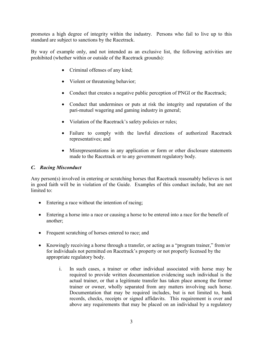promotes a high degree of integrity within the industry. Persons who fail to live up to this standard are subject to sanctions by the Racetrack.

By way of example only, and not intended as an exclusive list, the following activities are prohibited (whether within or outside of the Racetrack grounds):

- Criminal offenses of any kind;
- Violent or threatening behavior;
- Conduct that creates a negative public perception of PNGI or the Racetrack;
- Conduct that undermines or puts at risk the integrity and reputation of the pari-mutuel wagering and gaming industry in general;
- Violation of the Racetrack's safety policies or rules;
- Failure to comply with the lawful directions of authorized Racetrack representatives; and
- Misrepresentations in any application or form or other disclosure statements made to the Racetrack or to any government regulatory body.

#### *C. Racing Misconduct*

Any person(s) involved in entering or scratching horses that Racetrack reasonably believes is not in good faith will be in violation of the Guide. Examples of this conduct include, but are not limited to:

- Entering a race without the intention of racing;
- Entering a horse into a race or causing a horse to be entered into a race for the benefit of another;
- Frequent scratching of horses entered to race; and
- Knowingly receiving a horse through a transfer, or acting as a "program trainer," from/or for individuals not permitted on Racetrack's property or not properly licensed by the appropriate regulatory body.
	- i. In such cases, a trainer or other individual associated with horse may be required to provide written documentation evidencing such individual is the actual trainer, or that a legitimate transfer has taken place among the former trainer or owner, wholly separated from any matters involving such horse. Documentation that may be required includes, but is not limited to, bank records, checks, receipts or signed affidavits. This requirement is over and above any requirements that may be placed on an individual by a regulatory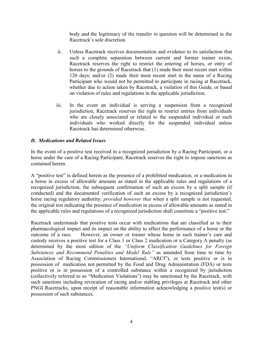body and the legitimacy of the transfer in question will be determined in the Racetrack's sole discretion.

- ii. Unless Racetrack receives documentation and evidence to its satisfaction that such a complete separation between current and former trainer exists, Racetrack reserves the right to restrict the entering of horses, or entry of horses to the grounds of Racetrack that (1) made their most recent start within 120 days; and/or (2) made their most recent start in the name of a Racing Participant who would not be permitted to participate in racing at Racetrack, whether due to action taken by Racetrack, a violation of this Guide, or based on violation of rules and regulations in the applicable jurisdiction.
- iii. In the event an individual is serving a suspension from a recognized jurisdiction, Racetrack reserves the right to restrict entries from individuals who are closely associated or related to the suspended individual or such individuals who worked directly for the suspended individual unless Racetrack has determined otherwise.

#### *D. Medications and Related Issues*

In the event of a positive test received in a recognized jurisdiction by a Racing Participant, or a horse under the care of a Racing Participant, Racetrack reserves the right to impose sanctions as contained herein.

A "positive test" is defined herein as the presence of a prohibited medication, or a medication in a horse in excess of allowable amounts as stated in the applicable rules and regulations of a recognized jurisdiction, the subsequent confirmation of such an excess by a split sample (if conducted) and the documented verification of such an excess by a recognized jurisdiction's horse racing regulatory authority; *provided however that* when a split sample is not requested, the original test indicating the presence of medication in excess of allowable amounts as stated in the applicable rules and regulations of a recognized jurisdiction shall constitute a "positive test."

Racetrack understands that positive tests occur with medications that are classified as to their pharmacological impact and its impact on the ability to affect the performance of a horse or the outcome of a race. However, an owner or trainer whose horse in such trainer's care and custody receives a positive test for a Class 1 or Class 2 medication or a Category A penalty (as determined by the most edition of the *"Uniform Classification Guidelines for Foreign Substances and Recommend Penalties and Model Rule"* as amended from time to time by Association of Racing Commissioners International, "ARCI"), or tests positive or is in possession of medication not permitted by the Food and Drug Administration (FDA) or tests positive or is in possession of a controlled substance within a recognized by jurisdiction (collectively referred to as "Medication Violations") may be sanctioned by the Racetrack, with such sanctions including revocation of racing and/or stabling privileges at Racetrack and other PNGI Racetracks, upon receipt of reasonable information acknowledging a positive test(s) or possession of such substances.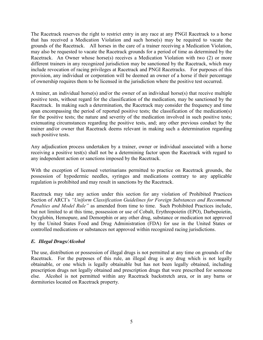The Racetrack reserves the right to restrict entry in any race at any PNGI Racetrack to a horse that has received a Medication Violation and such horse(s) may be required to vacate the grounds of the Racetrack. All horses in the care of a trainer receiving a Medication Violation, may also be requested to vacate the Racetrack grounds for a period of time as determined by the Racetrack. An Owner whose horse(s) receives a Medication Violation with two (2) or more different trainers in any recognized jurisdiction may be sanctioned by the Racetrack, which may include revocation of racing privileges at Racetrack and PNGI Racetracks. For purposes of this provision, any individual or corporation will be deemed an owner of a horse if their percentage of ownership requires them to be licensed in the jurisdiction where the positive test occurred.

A trainer, an individual horse(s) and/or the owner of an individual horse(s) that receive multiple positive tests, without regard for the classification of the medication, may be sanctioned by the Racetrack. In making such a determination, the Racetrack may consider the frequency and time span encompassing the period of reported positive tests; the classification of the medication(s) for the positive tests; the nature and severity of the medication involved in such positive tests; extenuating circumstances regarding the positive tests, and; any other previous conduct by the trainer and/or owner that Racetrack deems relevant in making such a determination regarding such positive tests.

Any adjudication process undertaken by a trainer, owner or individual associated with a horse receiving a positive test(s) shall not be a determining factor upon the Racetrack with regard to any independent action or sanctions imposed by the Racetrack.

With the exception of licensed veterinarians permitted to practice on Racetrack grounds, the possession of hypodermic needles, syringes and medications contrary to any applicable regulation is prohibited and may result in sanctions by the Racetrack.

Racetrack may take any action under this section for any violation of Prohibited Practices Section of ARCI's *"Uniform Classification Guidelines for Foreign Substances and Recommend Penalties and Model Rule"* as amended from time to time. Such Prohibited Practices include, but not limited to at this time, possession or use of Cobalt, Erythropoietin (EPO), Darbepoietin, Oxyglobin, Hemopure, and Demorphin or any other drug, substance or medication not approved by the United States Food and Drug Administration (FDA) for use in the United States or controlled medications or substances not approved within recognized racing jurisdictions.

#### *E. Illegal Drugs/Alcohol*

The use, distribution or possession of illegal drugs is not permitted at any time on grounds of the Racetrack. For the purposes of this rule, an illegal drug is any drug which is not legally obtainable, or one which is legally obtainable but has not been legally obtained, including prescription drugs not legally obtained and prescription drugs that were prescribed for someone else. Alcohol is not permitted within any Racetrack backstretch area, or in any barns or dormitories located on Racetrack property.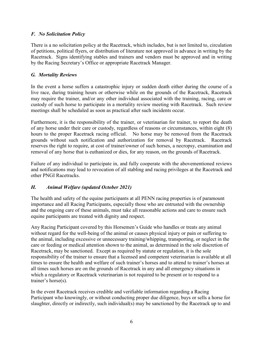## *F. No Solicitation Policy*

There is a no solicitation policy at the Racetrack, which includes, but is not limited to, circulation of petitions, political flyers, or distribution of literature not approved in advance in writing by the Racetrack. Signs identifying stables and trainers and vendors must be approved and in writing by the Racing Secretary's Office or appropriate Racetrack Manager.

### *G. Mortality Reviews*

In the event a horse suffers a catastrophic injury or sudden death either during the course of a live race, during training hours or otherwise while on the grounds of the Racetrack, Racetrack may require the trainer, and/or any other individual associated with the training, racing, care or custody of such horse to participate in a mortality review meeting with Racetrack. Such review meetings shall be scheduled as soon as practical after such incidents occur.

Furthermore, it is the responsibility of the trainer, or veterinarian for trainer, to report the death of any horse under their care or custody, regardless of reasons or circumstances, within eight (8) hours to the proper Racetrack racing official. No horse may be removed from the Racetrack grounds without such notification and authorization for removal by Racetrack. Racetrack reserves the right to require, at cost of trainer/owner of such horses, a necropsy, examination and removal of any horse that is euthanized or dies, for any reason, on the grounds of Racetrack.

Failure of any individual to participate in, and fully cooperate with the abovementioned reviews and notifications may lead to revocation of all stabling and racing privileges at the Racetrack and other PNGI Racetracks.

## *H. Animal Welfare (updated October 2021)*

The health and safety of the equine participants at all PENN racing properties is of paramount importance and all Racing Participants, especially those who are entrusted with the ownership and the ongoing care of these animals, must take all reasonable actions and care to ensure such equine participants are treated with dignity and respect.

Any Racing Participant covered by this Horsemen's Guide who handles or treats any animal without regard for the well-being of the animal or causes physical injury or pain or suffering to the animal, including excessive or unnecessary training/whipping, transporting, or neglect in the care or feeding or medical attention shown to the animal, as determined in the sole discretion of Racetrack, may be sanctioned. Except as required by statute or regulation, it is the sole responsibility of the trainer to ensure that a licensed and competent veterinarian is available at all times to ensure the health and welfare of such trainer's horses and to attend to trainer's horses at all times such horses are on the grounds of Racetrack in any and all emergency situations in which a regulatory or Racetrack veterinarian is not required to be present or to respond to a trainer's horse(s).

In the event Racetrack receives credible and verifiable information regarding a Racing Participant who knowingly, or without conducting proper due diligence, buys or sells a horse for slaughter, directly or indirectly, such individual(s) may be sanctioned by the Racetrack up to and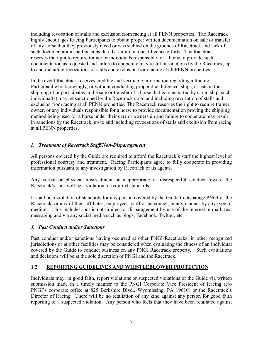including revocation of stalls and exclusion from racing at all PENN properties. The Racetrack highly encourages Racing Participants to obtain proper written documentation on sale or transfer of any horse that they previously raced or was stabled on the grounds of Racetrack and lack of such documentation shall be considered a failure in due diligence efforts. The Racetrack reserves the right to require trainer or individuals responsible for a horse to provide such documentation as requested and failure to cooperate may result in sanctions by the Racetrack, up to and including revocations of stalls and exclusion from racing at all PENN properties.

In the event Racetrack receives credible and verifiable information regarding a Racing Participant who knowingly, or without conducting proper due diligence, ships, assists in the shipping of or participates in the sale or transfer of a horse that is transported by cargo ship, such individual(s) may be sanctioned by the Racetrack up to and including revocation of stalls and exclusion from racing at all PENN properties. The Racetrack reserves the right to require trainer, owner, or any individuals responsible for a horse to provide documentation proving the shipping method being used for a horse under their care or ownership and failure to cooperate may result in sanctions by the Racetrack, up to and including revocations of stalls and exclusion from racing at all PENN properties.

## *I. Treatment of Racetrack Staff/Non-Disparagement*

All persons covered by the Guide are required to afford the Racetrack's staff the highest level of professional courtesy and treatment. Racing Participants agree to fully cooperate in providing information pursuant to any investigation by Racetrack or its agents.

Any verbal or physical mistreatment or inappropriate or disrespectful conduct toward the Racetrack's staff will be a violation of required standards.

It shall be a violation of standards for any person covered by the Guide to disparage PNGI or the Racetrack, or any of their affiliates, employees, staff or personnel, in any manner by any type of medium. This includes, but is not limited to, disparagement by use of the internet, e-mail, text messaging and via any social media such as blogs, Facebook, Twitter, etc.

## *J. Past Conduct and/or Sanctions*

Past conduct and/or sanctions having occurred at other PNGI Racetracks, in other recognized jurisdictions or at other facilities may be considered when evaluating the fitness of an individual covered by the Guide to conduct business on any PNGI Racetrack property. Such evaluations and decisions will be at the sole discretion of PNGI and the Racetrack.

## **1.2 REPORTING GUIDELINES AND WHISTLEBLOWER PROTECTION**

Individuals may, in good faith, report violations or suspected violations of the Guide via written submission made in a timely manner to the PNGI Corporate Vice President of Racing (c/o PNGI's corporate office at 825 Berkshire Blvd., Wyomissing, PA 19610) or the Racetrack's Director of Racing. There will be no retaliation of any kind against any person for good faith reporting of a suspected violation. Any person who feels that they have been retaliated against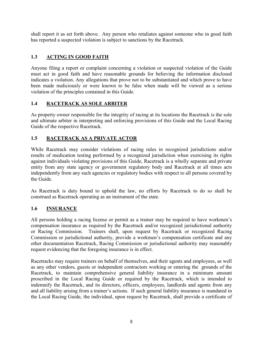shall report it as set forth above. Any person who retaliates against someone who in good faith has reported a suspected violation is subject to sanctions by the Racetrack.

## **1.3 ACTING IN GOOD FAITH**

Anyone filing a report or complaint concerning a violation or suspected violation of the Guide must act in good faith and have reasonable grounds for believing the information disclosed indicates a violation. Any allegations that prove not to be substantiated and which prove to have been made maliciously or were known to be false when made will be viewed as a serious violation of the principles contained in this Guide.

## **1.4 RACETRACK AS SOLE ARBITER**

As property owner responsible for the integrity of racing at its locations the Racetrack is the sole and ultimate arbiter in interpreting and enforcing provisions of this Guide and the Local Racing Guide of the respective Racetrack.

## **1.5 RACETRACK AS A PRIVATE ACTOR**

While Racetrack may consider violations of racing rules in recognized jurisdictions and/or results of medication testing performed by a recognized jurisdiction when exercising its rights against individuals violating provisions of this Guide, Racetrack is a wholly separate and private entity from any state agency or government regulatory body and Racetrack at all times acts independently from any such agencies or regulatory bodies with respect to all persons covered by the Guide.

As Racetrack is duty bound to uphold the law, no efforts by Racetrack to do so shall be construed as Racetrack operating as an instrument of the state.

#### **1.6 INSURANCE**

All persons holding a racing license or permit as a trainer may be required to have workmen's compensation insurance as required by the Racetrack and/or recognized jurisdictional authority or Racing Commission. Trainers shall, upon request by Racetrack or recognized Racing Commission or jurisdictional authority, provide a workmen's compensation certificate and any other documentation Racetrack, Racing Commission or jurisdictional authority may reasonably request evidencing that the foregoing insurance is in effect.

Racetracks may require trainers on behalf of themselves, and their agents and employees, as well as any other vendors, guests or independent contractors working or entering the grounds of the Racetrack, to maintain comprehensive general liability insurance in a minimum amount proscribed in the Local Racing Guide or required by the Racetrack, which is intended to indemnify the Racetrack, and its directors, officers, employees, landlords and agents from any and all liability arising from a trainer's actions. If such general liability insurance is mandated in the Local Racing Guide, the individual, upon request by Racetrack, shall provide a certificate of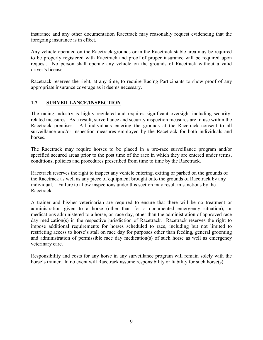insurance and any other documentation Racetrack may reasonably request evidencing that the foregoing insurance is in effect.

Any vehicle operated on the Racetrack grounds or in the Racetrack stable area may be required to be properly registered with Racetrack and proof of proper insurance will be required upon request. No person shall operate any vehicle on the grounds of Racetrack without a valid driver's license.

Racetrack reserves the right, at any time, to require Racing Participants to show proof of any appropriate insurance coverage as it deems necessary.

## **1.7 SURVEILLANCE/INSPECTION**

The racing industry is highly regulated and requires significant oversight including securityrelated measures. As a result, surveillance and security inspection measures are in use within the Racetrack premises. All individuals entering the grounds at the Racetrack consent to all surveillance and/or inspection measures employed by the Racetrack for both individuals and horses.

The Racetrack may require horses to be placed in a pre-race surveillance program and/or specified secured areas prior to the post time of the race in which they are entered under terms, conditions, policies and procedures prescribed from time to time by the Racetrack.

Racetrack reserves the right to inspect any vehicle entering, exiting or parked on the grounds of the Racetrack as well as any piece of equipment brought onto the grounds of Racetrack by any individual. Failure to allow inspections under this section may result in sanctions by the Racetrack.

A trainer and his/her veterinarian are required to ensure that there will be no treatment or administration given to a horse (other than for a documented emergency situation), or medications administered to a horse, on race day, other than the administration of approved race day medication(s) in the respective jurisdiction of Racetrack. Racetrack reserves the right to impose additional requirements for horses scheduled to race, including but not limited to restricting access to horse's stall on race day for purposes other than feeding, general grooming and administration of permissible race day medication(s) of such horse as well as emergency veterinary care.

Responsibility and costs for any horse in any surveillance program will remain solely with the horse's trainer. In no event will Racetrack assume responsibility or liability for such horse(s).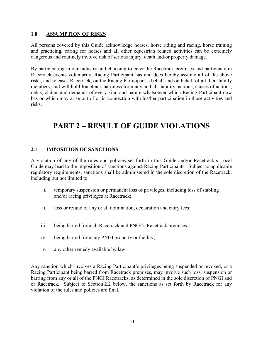#### **1.8 ASSUMPTION OF RISKS**

All persons covered by this Guide acknowledge horses, horse riding and racing, horse training and practicing, caring for horses and all other equestrian related activities can be extremely dangerous and routinely involve risk of serious injury, death and/or property damage.

By participating in our industry and choosing to enter the Racetrack premises and participate in Racetrack events voluntarily, Racing Participant has and does hereby assume all of the above risks, and releases Racetrack, on the Racing Participant's behalf and on behalf of all their family members, and will hold Racetrack harmless from any and all liability, actions, causes of actions, debts, claims and demands of every kind and nature whatsoever which Racing Participant now has or which may arise out of or in connection with his/her participation in those activities and risks.

## **PART 2 – RESULT OF GUIDE VIOLATIONS**

#### **2.1 IMPOSITION OF SANCTIONS**

A violation of any of the rules and policies set forth in this Guide and/or Racetrack's Local Guide may lead to the imposition of sanctions against Racing Participants. Subject to applicable regulatory requirements, sanctions shall be administered in the sole discretion of the Racetrack, including but not limited to:

- i. temporary suspension or permanent loss of privileges, including loss of stabling and/or racing privileges at Racetrack;
- ii. loss or refund of any or all nomination, declaration and entry fees;
- iii. being barred from all Racetrack and PNGI's Racetrack premises;
- iv. being barred from any PNGI property or facility;
- v. any other remedy available by law.

Any sanction which involves a Racing Participant's privileges being suspended or revoked, or a Racing Participant being barred from Racetrack premises, may involve such loss, suspension or barring from any or all of the PNGI Racetracks, as determined in the sole discretion of PNGI and or Racetrack. Subject to Section 2.2 below, the sanctions as set forth by Racetrack for any violation of the rules and policies are final.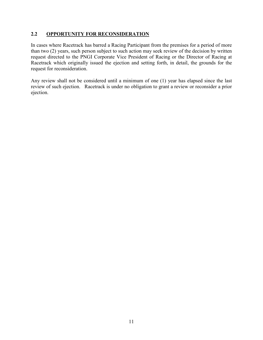#### **2.2 OPPORTUNITY FOR RECONSIDERATION**

In cases where Racetrack has barred a Racing Participant from the premises for a period of more than two (2) years, such person subject to such action may seek review of the decision by written request directed to the PNGI Corporate Vice President of Racing or the Director of Racing at Racetrack which originally issued the ejection and setting forth, in detail, the grounds for the request for reconsideration.

Any review shall not be considered until a minimum of one (1) year has elapsed since the last review of such ejection. Racetrack is under no obligation to grant a review or reconsider a prior ejection.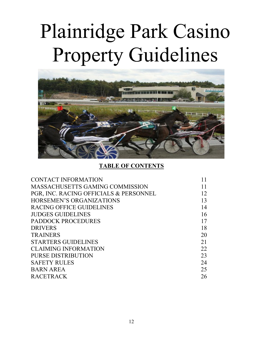# Plainridge Park Casino Property Guidelines



## **TABLE OF CONTENTS**

| <b>CONTACT INFORMATION</b>             |    |
|----------------------------------------|----|
| <b>MASSACHUSETTS GAMING COMMISSION</b> |    |
| PGR, INC. RACING OFFICIALS & PERSONNEL | 12 |
| HORSEMEN'S ORGANIZATIONS               | 13 |
| RACING OFFICE GUIDELINES               | 14 |
| <b>JUDGES GUIDELINES</b>               | 16 |
| <b>PADDOCK PROCEDURES</b>              | 17 |
| <b>DRIVERS</b>                         | 18 |
| <b>TRAINERS</b>                        | 20 |
| <b>STARTERS GUIDELINES</b>             | 21 |
| <b>CLAIMING INFORMATION</b>            | 22 |
| PURSE DISTRIBUTION                     | 23 |
| <b>SAFETY RULES</b>                    | 24 |
| <b>BARN AREA</b>                       | 25 |
| <b>RACETRACK</b>                       | 26 |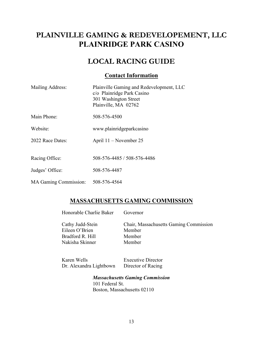## **PLAINVILLE GAMING & REDEVELOPEMENT, LLC PLAINRIDGE PARK CASINO**

## **LOCAL RACING GUIDE**

## **Contact Information**

| Mailing Address:      | Plainville Gaming and Redevelopment, LLC<br>c/o Plainridge Park Casino<br>301 Washington Street<br>Plainville, MA 02762 |
|-----------------------|-------------------------------------------------------------------------------------------------------------------------|
| Main Phone:           | 508-576-4500                                                                                                            |
| Website:              | www.plainridgeparkcasino                                                                                                |
| 2022 Race Dates:      | April 11 – November 25                                                                                                  |
|                       |                                                                                                                         |
| Racing Office:        | 508-576-4485 / 508-576-4486                                                                                             |
| Judges' Office:       | 508-576-4487                                                                                                            |
| MA Gaming Commission: | 508-576-4564                                                                                                            |

## **MASSACHUSETTS GAMING COMMISSION**

| Honorable Charlie Baker                                                   | Governor                                                             |
|---------------------------------------------------------------------------|----------------------------------------------------------------------|
| Cathy Judd-Stein<br>Eileen O'Brien<br>Bradford R. Hill<br>Nakisha Skinner | Chair, Massachusetts Gaming Commission<br>Member<br>Member<br>Member |
|                                                                           |                                                                      |

Karen Wells **Executive Director** Dr. Alexandra Lightbown Director of Racing

*Massachusetts Gaming Commission* 101 Federal St. Boston, Massachusetts 02110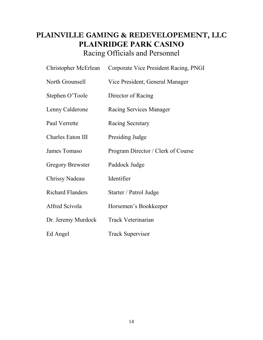## **PLAINVILLE GAMING & REDEVELOPEMENT, LLC PLAINRIDGE PARK CASINO** Racing Officials and Personnel

| Christopher McErlean    | Corporate Vice President Racing, PNGI |
|-------------------------|---------------------------------------|
| North Grounsell         | Vice President, General Manager       |
| Stephen O'Toole         | Director of Racing                    |
| Lenny Calderone         | Racing Services Manager               |
| Paul Verrette           | Racing Secretary                      |
| Charles Eaton III       | Presiding Judge                       |
| James Tomaso            | Program Director / Clerk of Course    |
| <b>Gregory Brewster</b> | Paddock Judge                         |
| Chrissy Nadeau          | Identifier                            |
| <b>Richard Flanders</b> | Starter / Patrol Judge                |
| Alfred Scivola          | Horsemen's Bookkeeper                 |
| Dr. Jeremy Murdock      | <b>Track Veterinarian</b>             |
| Ed Angel                | <b>Track Supervisor</b>               |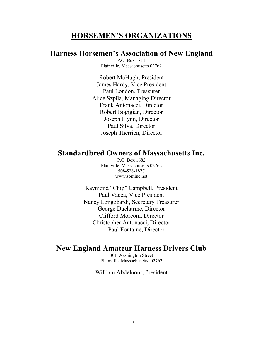## **HORSEMEN'S ORGANIZATIONS**

## **Harness Horsemen's Association of New England**

P.O. Box 1811 Plainville, Massachusetts 02762

Robert McHugh, President James Hardy, Vice President Paul London, Treasurer Alice Szpila, Managing Director Frank Antonacci, Director Robert Bogigian, Director Joseph Flynn, Director Paul Silva, Director Joseph Therrien, Director

## **Standardbred Owners of Massachusetts Inc.**

P.O. Box 1682 Plainville, Massachusetts 02762 508-528-1877 www.sominc.net

Raymond "Chip" Campbell, President Paul Vacca, Vice President Nancy Longobardi, Secretary Treasurer George Ducharme, Director Clifford Morcom, Director Christopher Antonacci, Director Paul Fontaine, Director

## **New England Amateur Harness Drivers Club**

301 Washington Street Plainville, Massachusetts 02762

#### William Abdelnour, President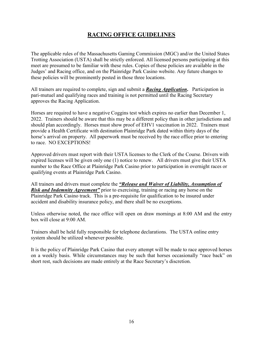## **RACING OFFICE GUIDELINES**

The applicable rules of the Massachusetts Gaming Commission (MGC) and/or the United States Trotting Association (USTA) shall be strictly enforced. All licensed persons participating at this meet are presumed to be familiar with these rules. Copies of these policies are available in the Judges' and Racing office, and on the Plainridge Park Casino website. Any future changes to these policies will be prominently posted in those three locations.

All trainers are required to complete, sign and submit a *Racing Application***.** Participation in pari-mutuel and qualifying races and training is not permitted until the Racing Secretary approves the Racing Application.

Horses are required to have a negative Coggins test which expires no earlier than December 1, 2022. Trainers should be aware that this may be a different policy than in other jurisdictions and should plan accordingly. Horses must show proof of EHV1 vaccination in 2022. Trainers must provide a Health Certificate with destination Plainridge Park dated within thirty days of the horse's arrival on property. All paperwork must be received by the race office prior to entering to race. NO EXCEPTIONS!

Approved drivers must report with their USTA licenses to the Clerk of the Course. Drivers with expired licenses will be given only one (1) notice to renew. All drivers must give their USTA number to the Race Office at Plainridge Park Casino prior to participation in overnight races or qualifying events at Plainridge Park Casino.

All trainers and drivers must complete the *"Release and Waiver of Liability, Assumption of Risk and Indemnity Agreement*" prior to exercising, training or racing any horse on the Plainridge Park Casino track. This is a pre-requisite for qualification to be insured under accident and disability insurance policy, and there shall be no exceptions.

Unless otherwise noted, the race office will open on draw mornings at 8:00 AM and the entry box will close at 9:00 AM.

Trainers shall be held fully responsible for telephone declarations. The USTA online entry system should be utilized whenever possible.

It is the policy of Plainridge Park Casino that every attempt will be made to race approved horses on a weekly basis. While circumstances may be such that horses occasionally "race back" on short rest, such decisions are made entirely at the Race Secretary's discretion.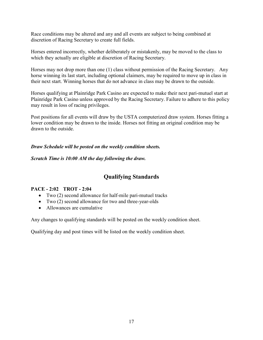Race conditions may be altered and any and all events are subject to being combined at discretion of Racing Secretary to create full fields.

Horses entered incorrectly, whether deliberately or mistakenly, may be moved to the class to which they actually are eligible at discretion of Racing Secretary.

Horses may not drop more than one (1) class without permission of the Racing Secretary. Any horse winning its last start, including optional claimers, may be required to move up in class in their next start. Winning horses that do not advance in class may be drawn to the outside.

Horses qualifying at Plainridge Park Casino are expected to make their next pari-mutuel start at Plainridge Park Casino unless approved by the Racing Secretary. Failure to adhere to this policy may result in loss of racing privileges.

Post positions for all events will draw by the USTA computerized draw system. Horses fitting a lower condition may be drawn to the inside. Horses not fitting an original condition may be drawn to the outside.

#### *Draw Schedule will be posted on the weekly condition sheets.*

*Scratch Time is 10:00 AM the day following the draw.*

## **Qualifying Standards**

## **PACE - 2:02 TROT - 2:04**

- Two (2) second allowance for half-mile pari-mutuel tracks
- Two (2) second allowance for two and three-year-olds
- Allowances are cumulative

Any changes to qualifying standards will be posted on the weekly condition sheet.

Qualifying day and post times will be listed on the weekly condition sheet.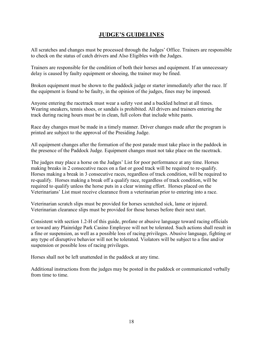## **JUDGE'S GUIDELINES**

All scratches and changes must be processed through the Judges' Office. Trainers are responsible to check on the status of catch drivers and Also Eligibles with the Judges.

Trainers are responsible for the condition of both their horses and equipment. If an unnecessary delay is caused by faulty equipment or shoeing, the trainer may be fined.

Broken equipment must be shown to the paddock judge or starter immediately after the race. If the equipment is found to be faulty, in the opinion of the judges, fines may be imposed.

Anyone entering the racetrack must wear a safety vest and a buckled helmet at all times. Wearing sneakers, tennis shoes, or sandals is prohibited. All drivers and trainers entering the track during racing hours must be in clean, full colors that include white pants.

Race day changes must be made in a timely manner. Driver changes made after the program is printed are subject to the approval of the Presiding Judge.

All equipment changes after the formation of the post parade must take place in the paddock in the presence of the Paddock Judge. Equipment changes must not take place on the racetrack.

The judges may place a horse on the Judges' List for poor performance at any time. Horses making breaks in 2 consecutive races on a fast or good track will be required to re-qualify. Horses making a break in 3 consecutive races, regardless of track condition, will be required to re-qualify. Horses making a break off a qualify race, regardless of track condition, will be required to qualify unless the horse puts in a clear winning effort. Horses placed on the Veterinarians' List must receive clearance from a veterinarian prior to entering into a race.

Veterinarian scratch slips must be provided for horses scratched sick, lame or injured. Veterinarian clearance slips must be provided for those horses before their next start.

Consistent with section 1.2-H of this guide, profane or abusive language toward racing officials or toward any Plainridge Park Casino Employee will not be tolerated. Such actions shall result in a fine or suspension, as well as a possible loss of racing privileges. Abusive language, fighting or any type of disruptive behavior will not be tolerated. Violators will be subject to a fine and/or suspension or possible loss of racing privileges.

Horses shall not be left unattended in the paddock at any time.

Additional instructions from the judges may be posted in the paddock or communicated verbally from time to time.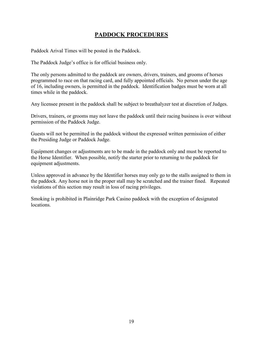## **PADDOCK PROCEDURES**

Paddock Arival Times will be posted in the Paddock.

The Paddock Judge's office is for official business only.

The only persons admitted to the paddock are owners, drivers, trainers, and grooms of horses programmed to race on that racing card, and fully appointed officials. No person under the age of 16, including owners, is permitted in the paddock. Identification badges must be worn at all times while in the paddock.

Any licensee present in the paddock shall be subject to breathalyzer test at discretion of Judges.

Drivers, trainers, or grooms may not leave the paddock until their racing business is over without permission of the Paddock Judge.

Guests will not be permitted in the paddock without the expressed written permission of either the Presiding Judge or Paddock Judge.

Equipment changes or adjustments are to be made in the paddock only and must be reported to the Horse Identifier. When possible, notify the starter prior to returning to the paddock for equipment adjustments.

Unless approved in advance by the Identifier horses may only go to the stalls assigned to them in the paddock. Any horse not in the proper stall may be scratched and the trainer fined. Repeated violations of this section may result in loss of racing privileges.

Smoking is prohibited in Plainridge Park Casino paddock with the exception of designated locations.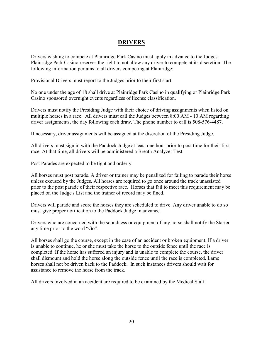## **DRIVERS**

Drivers wishing to compete at Plainridge Park Casino must apply in advance to the Judges. Plainridge Park Casino reserves the right to not allow any driver to compete at its discretion. The following information pertains to all drivers competing at Plainridge:

Provisional Drivers must report to the Judges prior to their first start.

No one under the age of 18 shall drive at Plainridge Park Casino in qualifying or Plainridge Park Casino sponsored overnight events regardless of license classification.

Drivers must notify the Presiding Judge with their choice of driving assignments when listed on multiple horses in a race. All drivers must call the Judges between 8:00 AM - 10 AM regarding driver assignments, the day following each draw. The phone number to call is 508-576-4487.

If necessary, driver assignments will be assigned at the discretion of the Presiding Judge.

All drivers must sign in with the Paddock Judge at least one hour prior to post time for their first race. At that time, all drivers will be administered a Breath Analyzer Test.

Post Parades are expected to be tight and orderly.

All horses must post parade. A driver or trainer may be penalized for failing to parade their horse unless excused by the Judges. All horses are required to go once around the track unassisted prior to the post parade of their respective race. Horses that fail to meet this requirement may be placed on the Judge's List and the trainer of record may be fined.

Drivers will parade and score the horses they are scheduled to drive. Any driver unable to do so must give proper notification to the Paddock Judge in advance.

Drivers who are concerned with the soundness or equipment of any horse shall notify the Starter any time prior to the word "Go".

All horses shall go the course, except in the case of an accident or broken equipment. If a driver is unable to continue, he or she must take the horse to the outside fence until the race is completed. If the horse has suffered an injury and is unable to complete the course, the driver shall dismount and hold the horse along the outside fence until the race is completed. Lame horses shall not be driven back to the Paddock. In such instances drivers should wait for assistance to remove the horse from the track.

All drivers involved in an accident are required to be examined by the Medical Staff.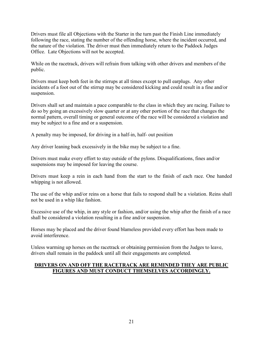Drivers must file all Objections with the Starter in the turn past the Finish Line immediately following the race, stating the number of the offending horse, where the incident occurred, and the nature of the violation. The driver must then immediately return to the Paddock Judges Office. Late Objections will not be accepted.

While on the racetrack, drivers will refrain from talking with other drivers and members of the public.

Drivers must keep both feet in the stirrups at all times except to pull earplugs. Any other incidents of a foot out of the stirrup may be considered kicking and could result in a fine and/or suspension.

Drivers shall set and maintain a pace comparable to the class in which they are racing. Failure to do so by going an excessively slow quarter or at any other portion of the race that changes the normal pattern, overall timing or general outcome of the race will be considered a violation and may be subject to a fine and or a suspension.

A penalty may be imposed, for driving in a half-in, half- out position

Any driver leaning back excessively in the bike may be subject to a fine.

Drivers must make every effort to stay outside of the pylons. Disqualifications, fines and/or suspensions may be imposed for leaving the course.

Drivers must keep a rein in each hand from the start to the finish of each race. One handed whipping is not allowed.

The use of the whip and/or reins on a horse that fails to respond shall be a violation. Reins shall not be used in a whip like fashion.

Excessive use of the whip, in any style or fashion, and/or using the whip after the finish of a race shall be considered a violation resulting in a fine and/or suspension.

Horses may be placed and the driver found blameless provided every effort has been made to avoid interference.

Unless warming up horses on the racetrack or obtaining permission from the Judges to leave, drivers shall remain in the paddock until all their engagements are completed.

## **DRIVERS ON AND OFF THE RACETRACK ARE REMINDED THEY ARE PUBLIC FIGURES AND MUST CONDUCT THEMSELVES ACCORDINGLY.**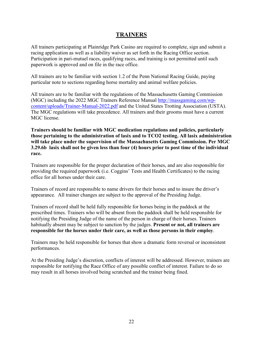## **TRAINERS**

All trainers participating at Plainridge Park Casino are required to complete, sign and submit a racing application as well as a liability waiver as set forth in the Racing Office section. Participation in pari-mutuel races, qualifying races, and training is not permitted until such paperwork is approved and on file in the race office.

All trainers are to be familiar with section 1.2 of the Penn National Racing Guide, paying particular note to sections regarding horse mortality and animal welfare policies.

All trainers are to be familiar with the regulations of the Massachusetts Gaming Commission (MGC) including the 2022 MGC Trainers Reference Manual [http://massgaming.com/wp](http://massgaming.com/wp-content/uploads/Trainer-Manual-2022.pdf)[content/uploads/Trainer-Manual-2022.pdf](http://massgaming.com/wp-content/uploads/Trainer-Manual-2022.pdf) and the United States Trotting Association (USTA). The MGC regulations will take precedence. All trainers and their grooms must have a current MGC license.

**Trainers should be familiar with MGC medication regulations and policies, particularly those pertaining to the administration of lasix and to TCO2 testing. All lasix administration will take place under the supervision of the Massachusetts Gaming Commission. Per MGC 3.29.6b lasix shall not be given less than four (4) hours prior to post time of the individual race.**

Trainers are responsible for the proper declaration of their horses, and are also responsible for providing the required paperwork (i.e. Coggins' Tests and Health Certificates) to the racing office for all horses under their care.

Trainers of record are responsible to name drivers for their horses and to insure the driver's appearance. All trainer changes are subject to the approval of the Presiding Judge.

Trainers of record shall be held fully responsible for horses being in the paddock at the prescribed times. Trainers who will be absent from the paddock shall be held responsible for notifying the Presiding Judge of the name of the person in charge of their horses. Trainers habitually absent may be subject to sanction by the judges. **Present or not, all trainers are responsible for the horses under their care, as well as those persons in their employ**.

Trainers may be held responsible for horses that show a dramatic form reversal or inconsistent performances.

At the Presiding Judge's discretion, conflicts of interest will be addressed. However, trainers are responsible for notifying the Race Office of any possible conflict of interest. Failure to do so may result in all horses involved being scratched and the trainer being fined.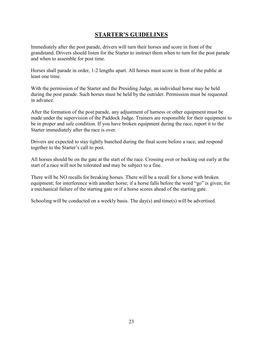## **STARTER'S GUIDELINES**

Immediately after the post parade, drivers will turn their horses and score in front of the grandstand. Drivers should listen for the Starter to instruct them when to turn for the post parade and when to assemble for post time.

Horses shall parade in order, 1-2 lengths apart. All horses must score in front of the public at least one time.

With the permission of the Starter and the Presiding Judge, an individual horse may be held during the post parade. Such horses must be held by the outrider. Permission must be requested in advance.

After the formation of the post parade, any adjustment of harness or other equipment must be made under the supervision of the Paddock Judge. Trainers are responsible for their equipment to be in proper and safe condition. If you have broken equipment during the race, report it to the Starter immediately after the race is over.

Drivers are expected to stay tightly bunched during the final score before a race; and respond together to the Starter's call to post.

All horses should be on the gate at the start of the race. Crossing over or backing out early at the start of a race will not be tolerated and may be subject to a fine.

There will be NO recalls for breaking horses. There will be a recall for a horse with broken equipment; for interference with another horse; if a horse falls before the word "go" is given; for a mechanical failure of the starting gate or if a horse scores ahead of the starting gate.

Schooling will be conducted on a weekly basis. The day(s) and time(s) will be advertised.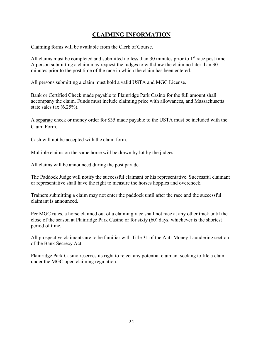## **CLAIMING INFORMATION**

Claiming forms will be available from the Clerk of Course.

All claims must be completed and submitted no less than 30 minutes prior to  $1<sup>st</sup>$  race post time. A person submitting a claim may request the judges to withdraw the claim no later than 30 minutes prior to the post time of the race in which the claim has been entered.

All persons submitting a claim must hold a valid USTA and MGC License.

Bank or Certified Check made payable to Plainridge Park Casino for the full amount shall accompany the claim. Funds must include claiming price with allowances, and Massachusetts state sales tax (6.25%).

A separate check or money order for \$35 made payable to the USTA must be included with the Claim Form.

Cash will not be accepted with the claim form.

Multiple claims on the same horse will be drawn by lot by the judges.

All claims will be announced during the post parade.

The Paddock Judge will notify the successful claimant or his representative. Successful claimant or representative shall have the right to measure the horses hopples and overcheck.

Trainers submitting a claim may not enter the paddock until after the race and the successful claimant is announced.

Per MGC rules, a horse claimed out of a claiming race shall not race at any other track until the close of the season at Plainridge Park Casino or for sixty (60) days, whichever is the shortest period of time.

All prospective claimants are to be familiar with Title 31 of the Anti-Money Laundering section of the Bank Secrecy Act.

Plainridge Park Casino reserves its right to reject any potential claimant seeking to file a claim under the MGC open claiming regulation.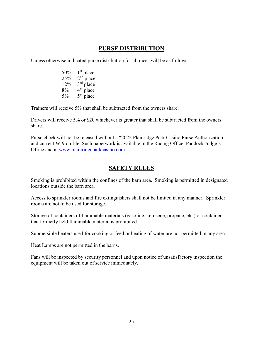## **PURSE DISTRIBUTION**

Unless otherwise indicated purse distribution for all races will be as follows:

 $50\%$  1st place  $25\%$  2<sup>nd</sup> place  $12\%$   $3^{\text{rd}}$  place 8%  $4<sup>th</sup>$  place 5% 5<sup>th</sup> place

Trainers will receive 5% that shall be subtracted from the owners share.

Drivers will receive 5% or \$20 whichever is greater that shall be subtracted from the owners share.

Purse check will not be released without a "2022 Plainridge Park Casino Purse Authorization" and current W-9 on file. Such paperwork is available in the Racing Office, Paddock Judge's Office and at [www.plainridgeparkcasino.com](http://www.plainridgeparkcasino.com/) .

## **SAFETY RULES**

Smoking is prohibited within the confines of the barn area. Smoking is permitted in designated locations outside the barn area.

Access to sprinkler rooms and fire extinguishers shall not be limited in any manner. Sprinkler rooms are not to be used for storage.

Storage of containers of flammable materials (gasoline, kerosene, propane, etc.) or containers that formerly held flammable material is prohibited.

Submersible heaters used for cooking or feed or heating of water are not permitted in any area.

Heat Lamps are not permitted in the barns.

Fans will be inspected by security personnel and upon notice of unsatisfactory inspection the equipment will be taken out of service immediately.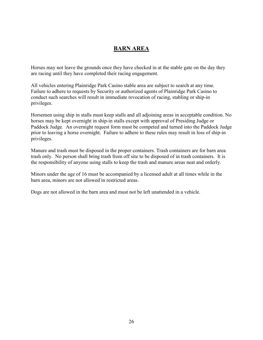## **BARN AREA**

Horses may not leave the grounds once they have checked in at the stable gate on the day they are racing until they have completed their racing engagement.

All vehicles entering Plainridge Park Casino stable area are subject to search at any time. Failure to adhere to requests by Security or authorized agents of Plainridge Park Casino to conduct such searches will result in immediate revocation of racing, stabling or ship-in privileges.

Horsemen using ship in stalls must keep stalls and all adjoining areas in acceptable condition. No horses may be kept overnight in ship-in stalls except with approval of Presiding Judge or Paddock Judge. An overnight request form must be competed and turned into the Paddock Judge prior to leaving a horse overnight. Failure to adhere to these rules may result in loss of ship-in privileges.

Manure and trash must be disposed in the proper containers. Trash containers are for barn area trash only. No person shall bring trash from off site to be disposed of in trash containers. It is the responsibility of anyone using stalls to keep the trash and manure areas neat and orderly.

Minors under the age of 16 must be accompanied by a licensed adult at all times while in the barn area, minors are not allowed in restricted areas.

Dogs are not allowed in the barn area and must not be left unattended in a vehicle.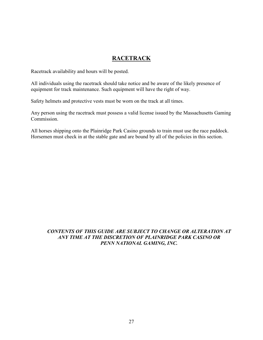## **RACETRACK**

Racetrack availability and hours will be posted.

All individuals using the racetrack should take notice and be aware of the likely presence of equipment for track maintenance. Such equipment will have the right of way.

Safety helmets and protective vests must be worn on the track at all times.

Any person using the racetrack must possess a valid license issued by the Massachusetts Gaming Commission.

All horses shipping onto the Plainridge Park Casino grounds to train must use the race paddock. Horsemen must check in at the stable gate and are bound by all of the policies in this section.

## *CONTENTS OF THIS GUIDE ARE SUBJECT TO CHANGE OR ALTERATION AT ANY TIME AT THE DISCRETION OF PLAINRIDGE PARK CASINO OR PENN NATIONAL GAMING, INC.*